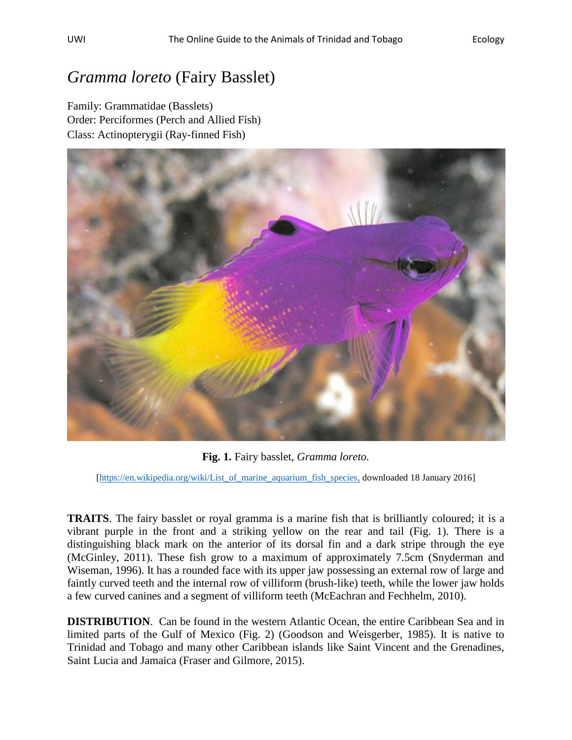## *Gramma loreto* (Fairy Basslet)

Family: Grammatidae (Basslets) Order: Perciformes (Perch and Allied Fish) Class: Actinopterygii (Ray-finned Fish)



**Fig. 1.** Fairy basslet, *Gramma loreto.*

[\[https://en.wikipedia.org/wiki/List\\_of\\_marine\\_aquarium\\_fish\\_species,](https://en.wikipedia.org/wiki/List_of_marine_aquarium_fish_species) downloaded 18 January 2016]

**TRAITS**. The fairy basslet or royal gramma is a marine fish that is brilliantly coloured; it is a vibrant purple in the front and a striking yellow on the rear and tail (Fig. 1). There is a distinguishing black mark on the anterior of its dorsal fin and a dark stripe through the eye (McGinley, 2011). These fish grow to a maximum of approximately 7.5cm (Snyderman and Wiseman, 1996). It has a rounded face with its upper jaw possessing an external row of large and faintly curved teeth and the internal row of villiform (brush-like) teeth, while the lower jaw holds a few curved canines and a segment of villiform teeth (McEachran and Fechhelm, 2010).

**DISTRIBUTION**. Can be found in the western Atlantic Ocean, the entire Caribbean Sea and in limited parts of the Gulf of Mexico (Fig. 2) (Goodson and Weisgerber, 1985). It is native to Trinidad and Tobago and many other Caribbean islands like Saint Vincent and the Grenadines, Saint Lucia and Jamaica (Fraser and Gilmore, 2015).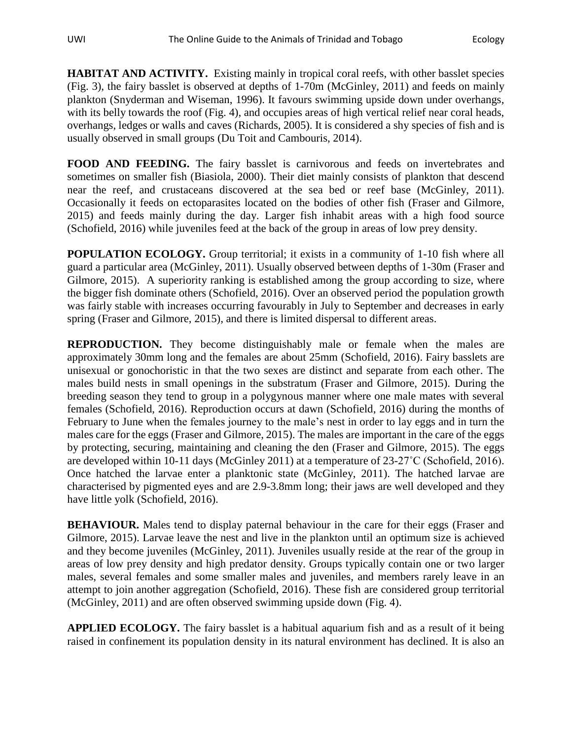**HABITAT AND ACTIVITY.** Existing mainly in tropical coral reefs, with other basslet species (Fig. 3), the fairy basslet is observed at depths of 1-70m (McGinley, 2011) and feeds on mainly plankton (Snyderman and Wiseman, 1996). It favours swimming upside down under overhangs, with its belly towards the roof (Fig. 4), and occupies areas of high vertical relief near coral heads, overhangs, ledges or walls and caves (Richards, 2005). It is considered a shy species of fish and is usually observed in small groups (Du Toit and Cambouris, 2014).

**FOOD AND FEEDING.** The fairy basslet is carnivorous and feeds on invertebrates and sometimes on smaller fish (Biasiola, 2000). Their diet mainly consists of plankton that descend near the reef, and crustaceans discovered at the sea bed or reef base (McGinley, 2011). Occasionally it feeds on ectoparasites located on the bodies of other fish (Fraser and Gilmore, 2015) and feeds mainly during the day. Larger fish inhabit areas with a high food source (Schofield, 2016) while juveniles feed at the back of the group in areas of low prey density.

**POPULATION ECOLOGY.** Group territorial; it exists in a community of 1-10 fish where all guard a particular area (McGinley, 2011). Usually observed between depths of 1-30m (Fraser and Gilmore, 2015). A superiority ranking is established among the group according to size, where the bigger fish dominate others (Schofield, 2016). Over an observed period the population growth was fairly stable with increases occurring favourably in July to September and decreases in early spring (Fraser and Gilmore, 2015), and there is limited dispersal to different areas.

**REPRODUCTION.** They become distinguishably male or female when the males are approximately 30mm long and the females are about 25mm (Schofield, 2016). Fairy basslets are unisexual or gonochoristic in that the two sexes are distinct and separate from each other. The males build nests in small openings in the substratum (Fraser and Gilmore, 2015). During the breeding season they tend to group in a polygynous manner where one male mates with several females (Schofield, 2016). Reproduction occurs at dawn (Schofield, 2016) during the months of February to June when the females journey to the male's nest in order to lay eggs and in turn the males care for the eggs (Fraser and Gilmore, 2015). The males are important in the care of the eggs by protecting, securing, maintaining and cleaning the den (Fraser and Gilmore, 2015). The eggs are developed within 10-11 days (McGinley 2011) at a temperature of 23-27˚C (Schofield, 2016). Once hatched the larvae enter a planktonic state (McGinley, 2011). The hatched larvae are characterised by pigmented eyes and are 2.9-3.8mm long; their jaws are well developed and they have little yolk (Schofield, 2016).

**BEHAVIOUR.** Males tend to display paternal behaviour in the care for their eggs (Fraser and Gilmore, 2015). Larvae leave the nest and live in the plankton until an optimum size is achieved and they become juveniles (McGinley, 2011). Juveniles usually reside at the rear of the group in areas of low prey density and high predator density. Groups typically contain one or two larger males, several females and some smaller males and juveniles, and members rarely leave in an attempt to join another aggregation (Schofield, 2016). These fish are considered group territorial (McGinley, 2011) and are often observed swimming upside down (Fig. 4).

**APPLIED ECOLOGY.** The fairy basslet is a habitual aquarium fish and as a result of it being raised in confinement its population density in its natural environment has declined. It is also an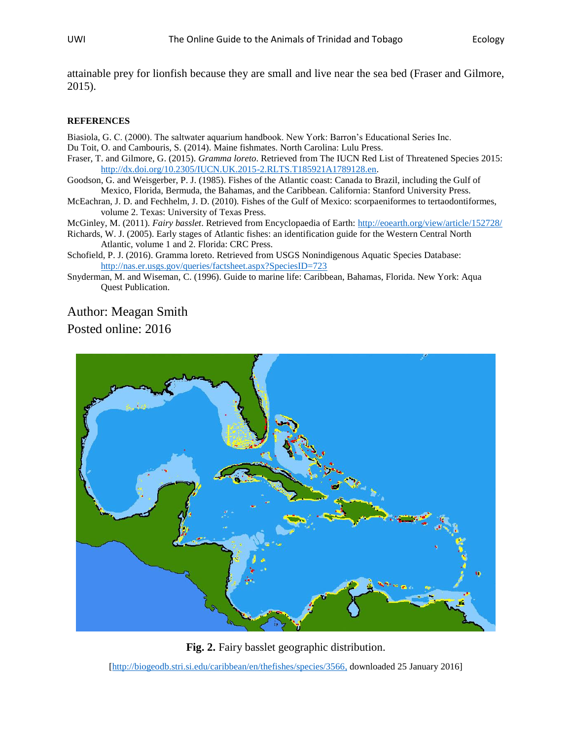attainable prey for lionfish because they are small and live near the sea bed (Fraser and Gilmore, 2015).

## **REFERENCES**

Biasiola, G. C. (2000). The saltwater aquarium handbook. New York: Barron's Educational Series Inc. Du Toit, O. and Cambouris, S. (2014). Maine fishmates. North Carolina: Lulu Press.

- Fraser, T. and Gilmore, G. (2015). *Gramma loreto*. Retrieved from The IUCN Red List of Threatened Species 2015: [http://dx.doi.org/10.2305/IUCN.UK.2015-2.RLTS.T185921A1789128.en.](http://dx.doi.org/10.2305/IUCN.UK.2015-2.RLTS.T185921A1789128.en)
- Goodson, G. and Weisgerber, P. J. (1985). Fishes of the Atlantic coast: Canada to Brazil, including the Gulf of Mexico, Florida, Bermuda, the Bahamas, and the Caribbean. California: Stanford University Press.
- McEachran, J. D. and Fechhelm, J. D. (2010). Fishes of the Gulf of Mexico: scorpaeniformes to tertaodontiformes, volume 2. Texas: University of Texas Press.
- McGinley, M. (2011). *Fairy basslet*. Retrieved from Encyclopaedia of Earth:<http://eoearth.org/view/article/152728/>
- Richards, W. J. (2005). Early stages of Atlantic fishes: an identification guide for the Western Central North Atlantic, volume 1 and 2. Florida: CRC Press.
- Schofield, P. J. (2016). Gramma loreto. Retrieved from USGS Nonindigenous Aquatic Species Database: <http://nas.er.usgs.gov/queries/factsheet.aspx?SpeciesID=723>
- Snyderman, M. and Wiseman, C. (1996). Guide to marine life: Caribbean, Bahamas, Florida. New York: Aqua Quest Publication.

## Author: Meagan Smith

Posted online: 2016



**Fig. 2.** Fairy basslet geographic distribution.

[\[http://biogeodb.stri.si.edu/caribbean/en/thefishes/species/3566,](http://biogeodb.stri.si.edu/caribbean/en/thefishes/species/3566) downloaded 25 January 2016]